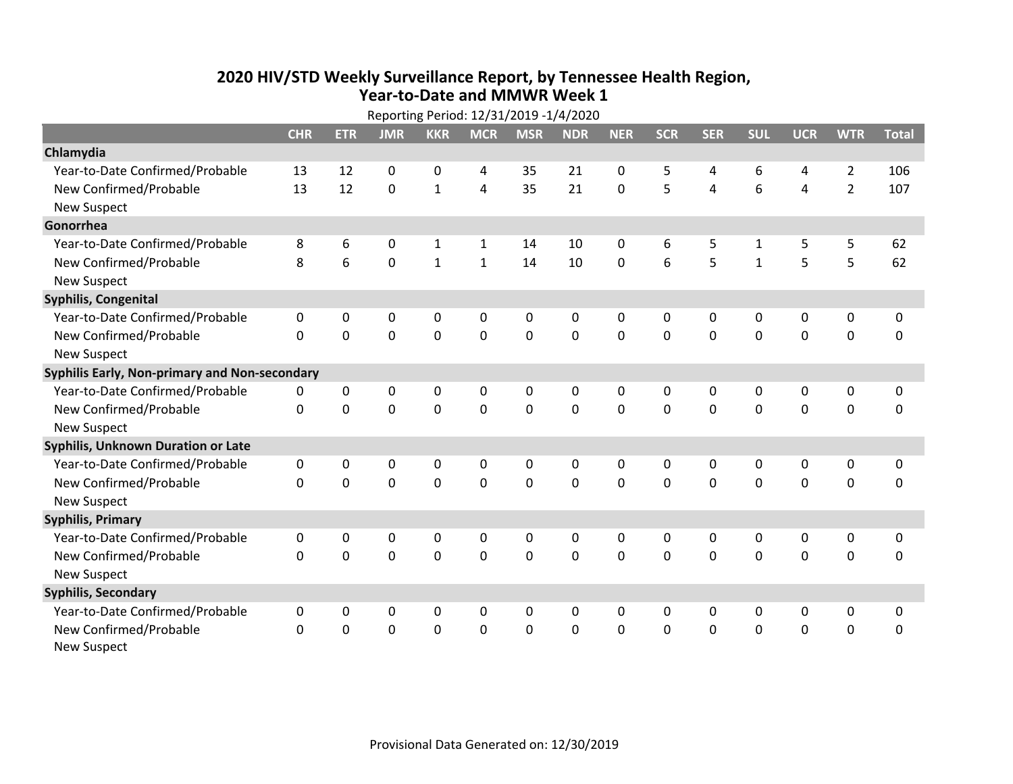## **2020 HIV /STD Weekly Surveillance Report, by Tennessee Health Region, Year‐to‐Date and MMWR Week 1** Reporting Period: 12/31/2019 ‐1/4/2020

| Reporting Period: 12/31/2019 -1/4/2020        |              |             |             |              |              |             |             |              |              |                |              |                |                |              |
|-----------------------------------------------|--------------|-------------|-------------|--------------|--------------|-------------|-------------|--------------|--------------|----------------|--------------|----------------|----------------|--------------|
|                                               | <b>CHR</b>   | <b>ETR</b>  | <b>JMR</b>  | <b>KKR</b>   | <b>MCR</b>   | <b>MSR</b>  | <b>NDR</b>  | <b>NER</b>   | <b>SCR</b>   | <b>SER</b>     | <b>SUL</b>   | <b>UCR</b>     | <b>WTR</b>     | <b>Total</b> |
| Chlamydia                                     |              |             |             |              |              |             |             |              |              |                |              |                |                |              |
| Year-to-Date Confirmed/Probable               | 13           | 12          | 0           | $\mathbf 0$  | 4            | 35          | 21          | 0            | 5            | 4              | 6            | 4              | $\overline{2}$ | 106          |
| New Confirmed/Probable                        | 13           | 12          | $\mathbf 0$ | $\mathbf{1}$ | 4            | 35          | 21          | $\mathbf 0$  | 5            | $\overline{4}$ | 6            | $\overline{4}$ | $\overline{2}$ | 107          |
| <b>New Suspect</b>                            |              |             |             |              |              |             |             |              |              |                |              |                |                |              |
| Gonorrhea                                     |              |             |             |              |              |             |             |              |              |                |              |                |                |              |
| Year-to-Date Confirmed/Probable               | 8            | 6           | 0           | $\mathbf{1}$ | $\mathbf{1}$ | 14          | 10          | 0            | 6            | 5              | $\mathbf{1}$ | 5              | 5              | 62           |
| New Confirmed/Probable                        | 8            | 6           | $\mathbf 0$ | $\mathbf 1$  | $\mathbf{1}$ | 14          | 10          | $\mathbf 0$  | 6            | 5              | $\mathbf{1}$ | 5              | 5              | 62           |
| <b>New Suspect</b>                            |              |             |             |              |              |             |             |              |              |                |              |                |                |              |
| <b>Syphilis, Congenital</b>                   |              |             |             |              |              |             |             |              |              |                |              |                |                |              |
| Year-to-Date Confirmed/Probable               | 0            | 0           | 0           | $\mathbf 0$  | 0            | 0           | 0           | 0            | 0            | 0              | 0            | 0              | $\pmb{0}$      | $\pmb{0}$    |
| New Confirmed/Probable                        | $\Omega$     | $\mathbf 0$ | $\mathbf 0$ | $\mathbf{0}$ | $\mathbf 0$  | $\mathbf 0$ | 0           | $\Omega$     | $\Omega$     | $\mathbf 0$    | $\mathbf 0$  | $\mathbf 0$    | $\mathbf 0$    | $\mathbf 0$  |
| <b>New Suspect</b>                            |              |             |             |              |              |             |             |              |              |                |              |                |                |              |
| Syphilis Early, Non-primary and Non-secondary |              |             |             |              |              |             |             |              |              |                |              |                |                |              |
| Year-to-Date Confirmed/Probable               | 0            | 0           | 0           | 0            | 0            | 0           | 0           | 0            | 0            | 0              | 0            | 0              | 0              | 0            |
| New Confirmed/Probable                        | $\Omega$     | 0           | 0           | $\mathbf 0$  | $\mathbf 0$  | $\mathbf 0$ | 0           | $\Omega$     | $\Omega$     | $\mathbf 0$    | 0            | $\mathbf 0$    | $\mathbf 0$    | $\mathbf 0$  |
| <b>New Suspect</b>                            |              |             |             |              |              |             |             |              |              |                |              |                |                |              |
| <b>Syphilis, Unknown Duration or Late</b>     |              |             |             |              |              |             |             |              |              |                |              |                |                |              |
| Year-to-Date Confirmed/Probable               | $\mathbf 0$  | 0           | 0           | 0            | 0            | 0           | 0           | $\mathbf 0$  | $\mathbf{0}$ | $\Omega$       | 0            | $\mathbf 0$    | $\pmb{0}$      | $\mathbf 0$  |
| New Confirmed/Probable                        | $\Omega$     | $\Omega$    | $\Omega$    | $\Omega$     | $\Omega$     | $\Omega$    | $\mathbf 0$ | $\Omega$     | $\Omega$     | $\Omega$       | $\Omega$     | $\mathbf 0$    | $\mathbf 0$    | $\mathbf 0$  |
| <b>New Suspect</b>                            |              |             |             |              |              |             |             |              |              |                |              |                |                |              |
| <b>Syphilis, Primary</b>                      |              |             |             |              |              |             |             |              |              |                |              |                |                |              |
| Year-to-Date Confirmed/Probable               | 0            | 0           | 0           | 0            | 0            | 0           | 0           | $\mathbf{0}$ | 0            | $\Omega$       | 0            | 0              | $\mathbf 0$    | 0            |
| New Confirmed/Probable                        | $\Omega$     | 0           | 0           | $\mathbf 0$  | $\mathbf 0$  | $\mathbf 0$ | 0           | $\Omega$     | $\Omega$     | $\mathbf 0$    | 0            | $\mathbf 0$    | $\mathbf 0$    | $\mathbf 0$  |
| <b>New Suspect</b>                            |              |             |             |              |              |             |             |              |              |                |              |                |                |              |
| <b>Syphilis, Secondary</b>                    |              |             |             |              |              |             |             |              |              |                |              |                |                |              |
| Year-to-Date Confirmed/Probable               | $\mathbf{0}$ | 0           | 0           | 0            | 0            | $\Omega$    | 0           | $\mathbf{0}$ | $\mathbf{0}$ | $\Omega$       | $\mathbf{0}$ | 0              | 0              | $\mathbf 0$  |
| New Confirmed/Probable                        | $\Omega$     | 0           | 0           | $\mathbf 0$  | $\mathbf 0$  | $\mathbf 0$ | $\Omega$    | $\Omega$     | $\Omega$     | $\mathbf 0$    | 0            | $\mathbf 0$    | $\mathbf 0$    | $\mathbf 0$  |
| <b>New Suspect</b>                            |              |             |             |              |              |             |             |              |              |                |              |                |                |              |